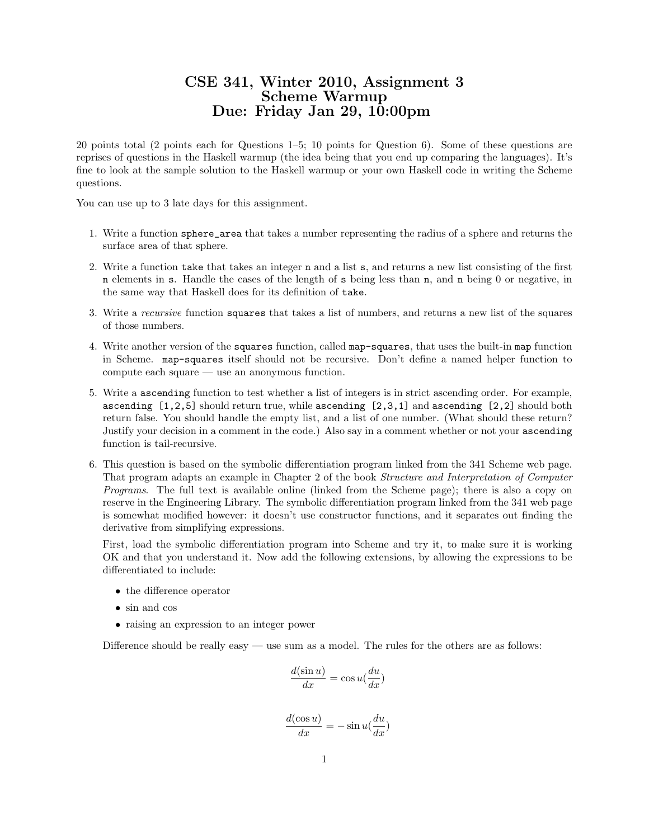## CSE 341, Winter 2010, Assignment 3 Scheme Warmup Due: Friday Jan 29, 10:00pm

20 points total (2 points each for Questions 1–5; 10 points for Question 6). Some of these questions are reprises of questions in the Haskell warmup (the idea being that you end up comparing the languages). It's fine to look at the sample solution to the Haskell warmup or your own Haskell code in writing the Scheme questions.

You can use up to 3 late days for this assignment.

- 1. Write a function sphere\_area that takes a number representing the radius of a sphere and returns the surface area of that sphere.
- 2. Write a function take that takes an integer n and a list s, and returns a new list consisting of the first n elements in s. Handle the cases of the length of s being less than n, and n being 0 or negative, in the same way that Haskell does for its definition of take.
- 3. Write a recursive function squares that takes a list of numbers, and returns a new list of the squares of those numbers.
- 4. Write another version of the squares function, called map-squares, that uses the built-in map function in Scheme. map-squares itself should not be recursive. Don't define a named helper function to compute each square — use an anonymous function.
- 5. Write a ascending function to test whether a list of integers is in strict ascending order. For example, ascending [1,2,5] should return true, while ascending [2,3,1] and ascending [2,2] should both return false. You should handle the empty list, and a list of one number. (What should these return? Justify your decision in a comment in the code.) Also say in a comment whether or not your ascending function is tail-recursive.
- 6. This question is based on the symbolic differentiation program linked from the 341 Scheme web page. That program adapts an example in Chapter 2 of the book Structure and Interpretation of Computer Programs. The full text is available online (linked from the Scheme page); there is also a copy on reserve in the Engineering Library. The symbolic differentiation program linked from the 341 web page is somewhat modified however: it doesn't use constructor functions, and it separates out finding the derivative from simplifying expressions.

First, load the symbolic differentiation program into Scheme and try it, to make sure it is working OK and that you understand it. Now add the following extensions, by allowing the expressions to be differentiated to include:

- the difference operator
- sin and cos
- raising an expression to an integer power

Difference should be really easy — use sum as a model. The rules for the others are as follows:

$$
\frac{d(\sin u)}{dx} = \cos u(\frac{du}{dx})
$$

$$
\frac{d(\cos u)}{dx} = -\sin u(\frac{du}{dx})
$$